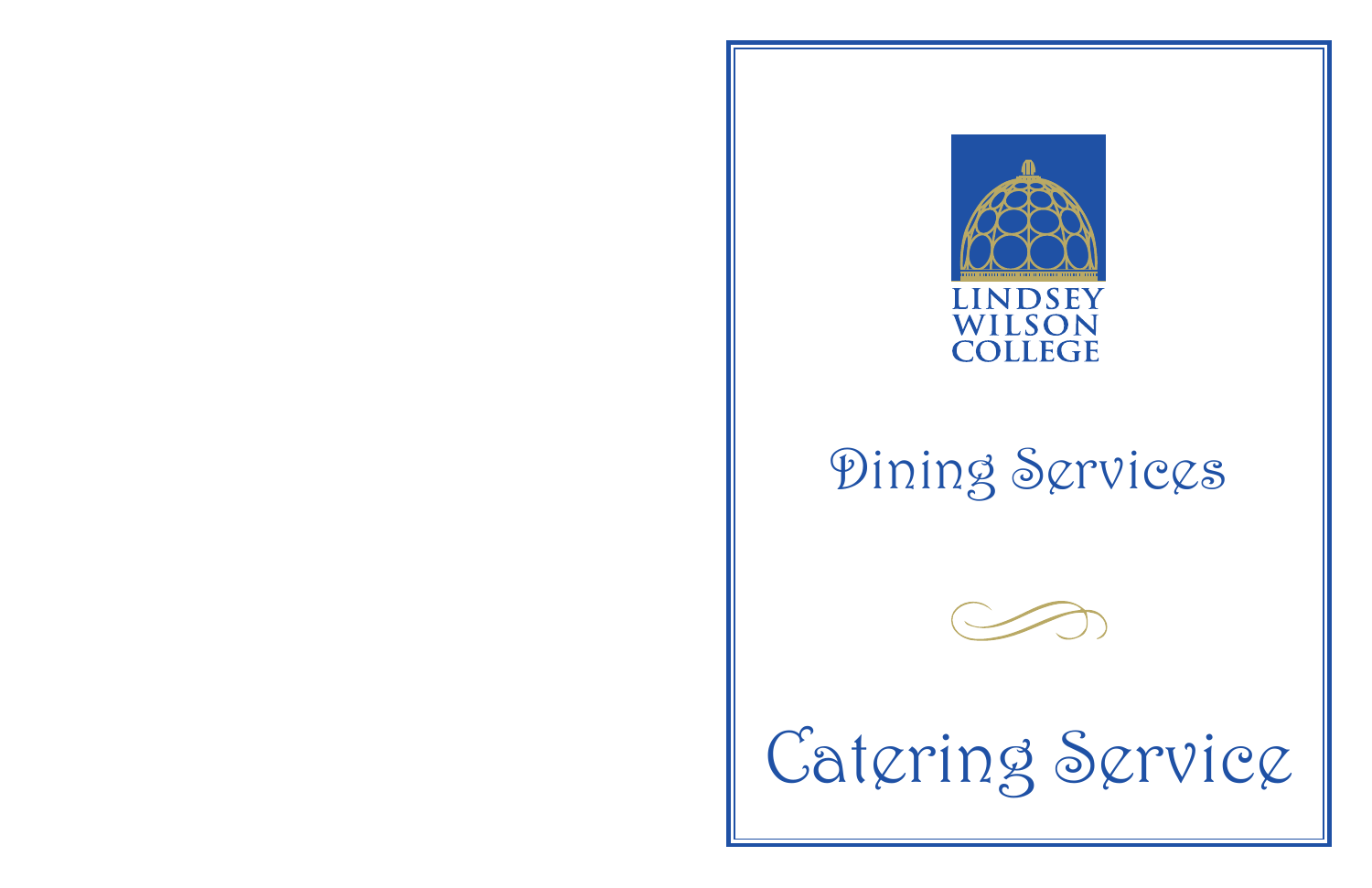



## Dining Services

## Catering Service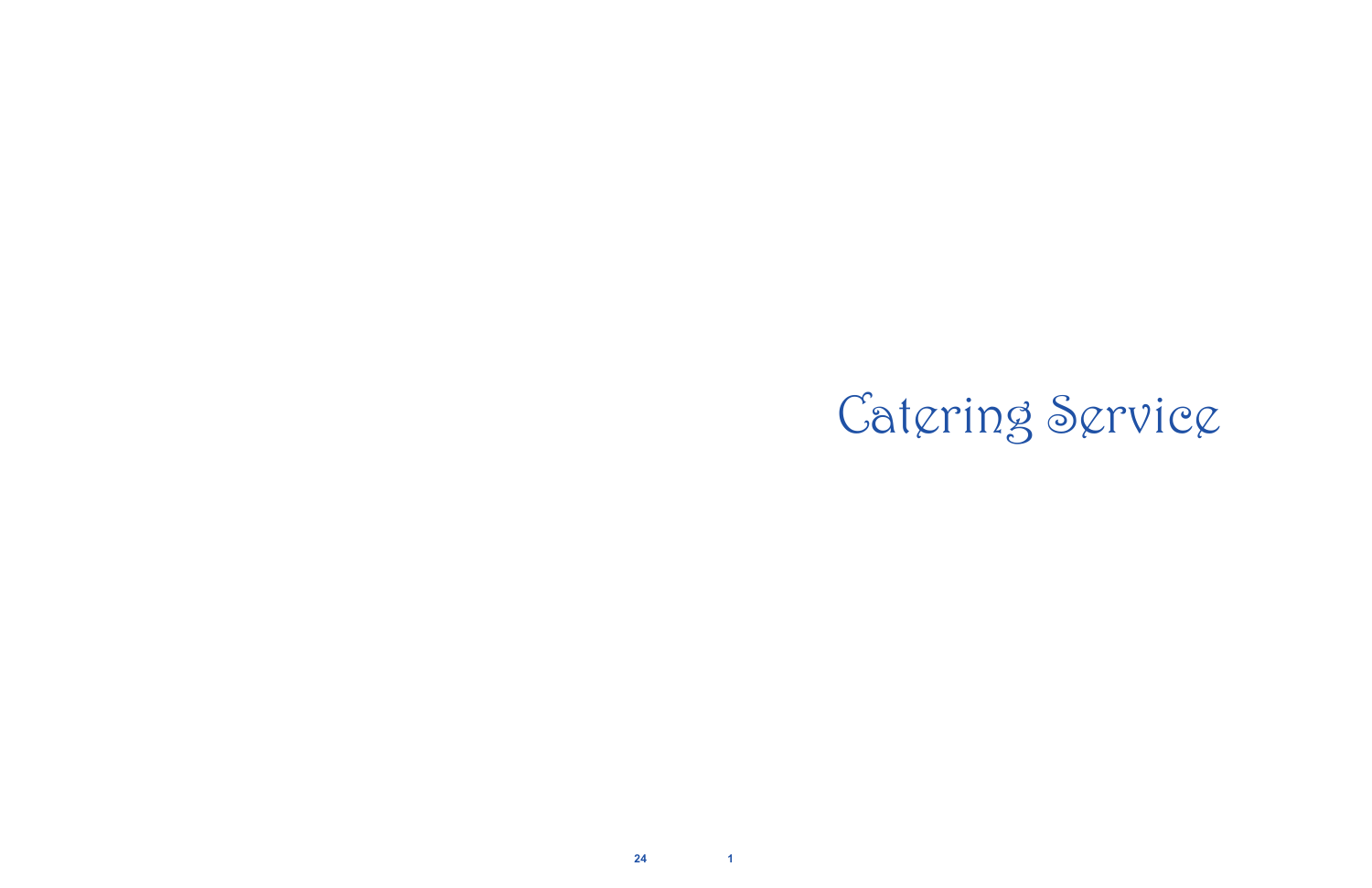

**24 1**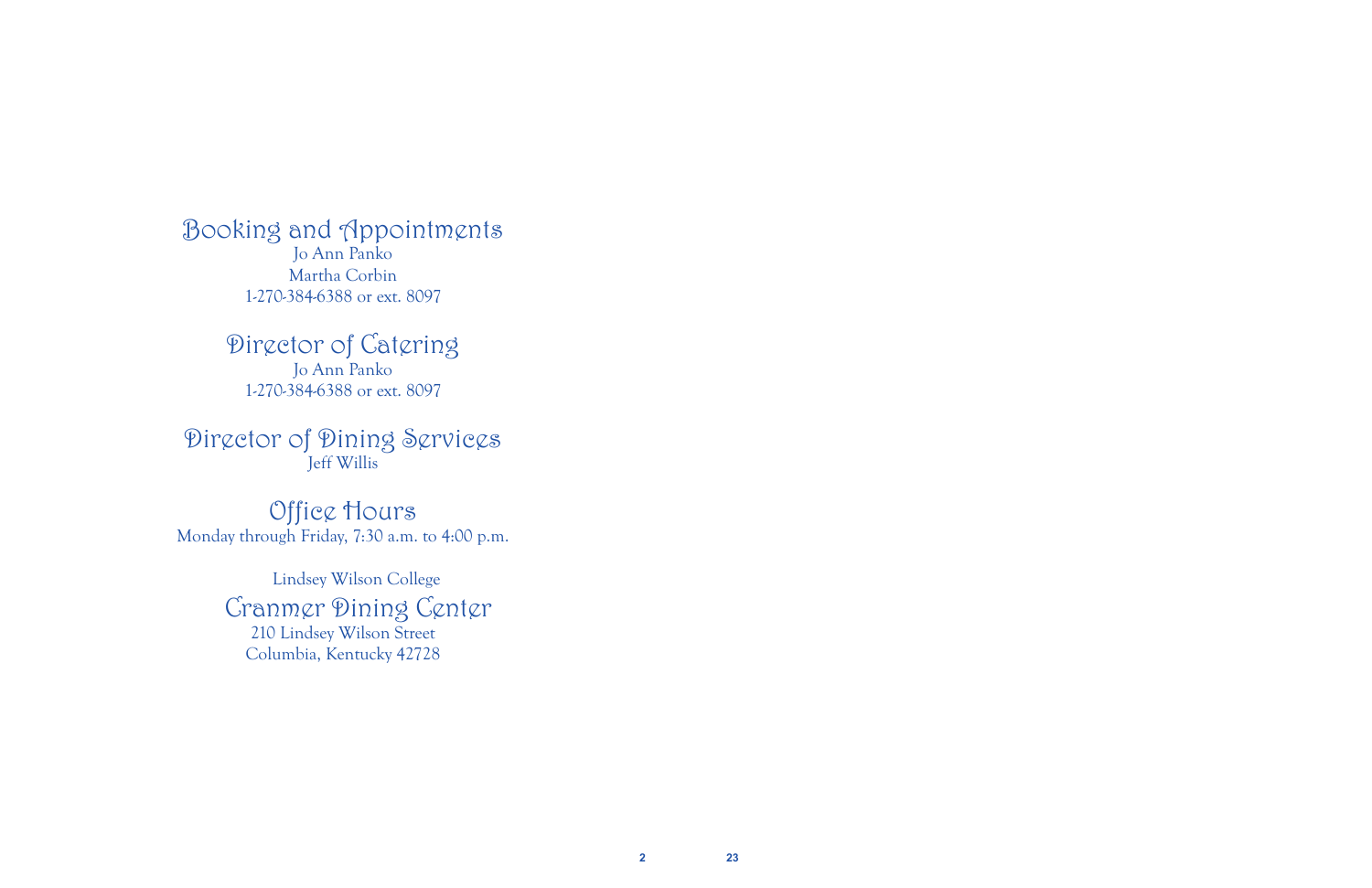Booking and Appointments Jo Ann Panko Martha Corbin 1-270-384-6388 or ext. 8097

> Director of Catering Jo Ann Panko 1-270-384-6388 or ext. 8097

Director of Dining Services Jeff Willis

Office Hours Monday through Friday, 7:30 a.m. to 4:00 p.m.

> Lindsey Wilson College Cranmer Dining Center 210 Lindsey Wilson Street Columbia, Kentucky 42728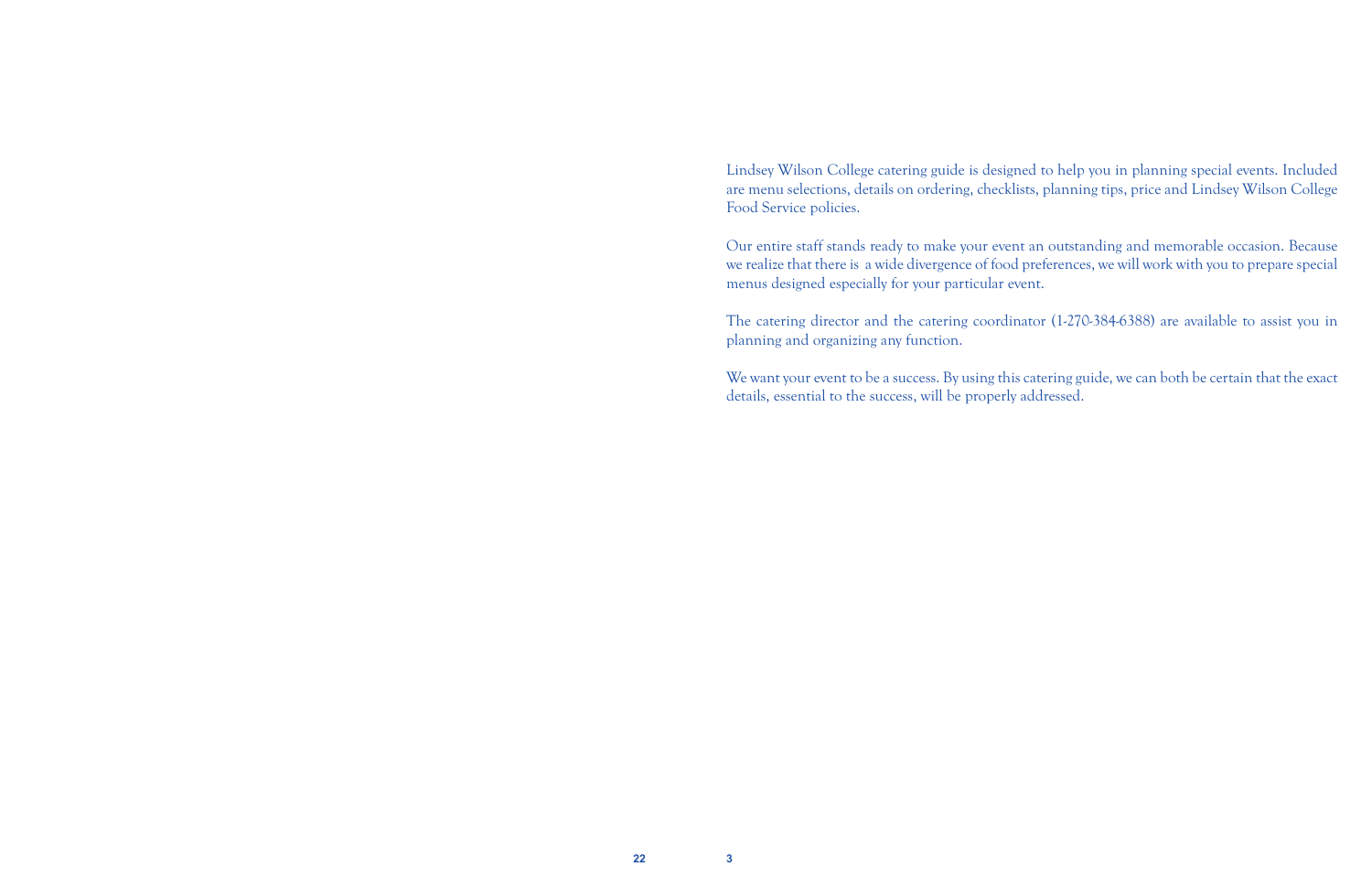Lindsey Wilson College catering guide is designed to help you in planning special events. Included are menu selections, details on ordering, checklists, planning tips, price and Lindsey Wilson College Food Service policies.

Our entire staff stands ready to make your event an outstanding and memorable occasion. Because we realize that there is a wide divergence of food preferences, we will work with you to prepare special menus designed especially for your particular event.

The catering director and the catering coordinator (1-270-384-6388) are available to assist you in planning and organizing any function.

We want your event to be a success. By using this catering guide, we can both be certain that the exact details, essential to the success, will be properly addressed.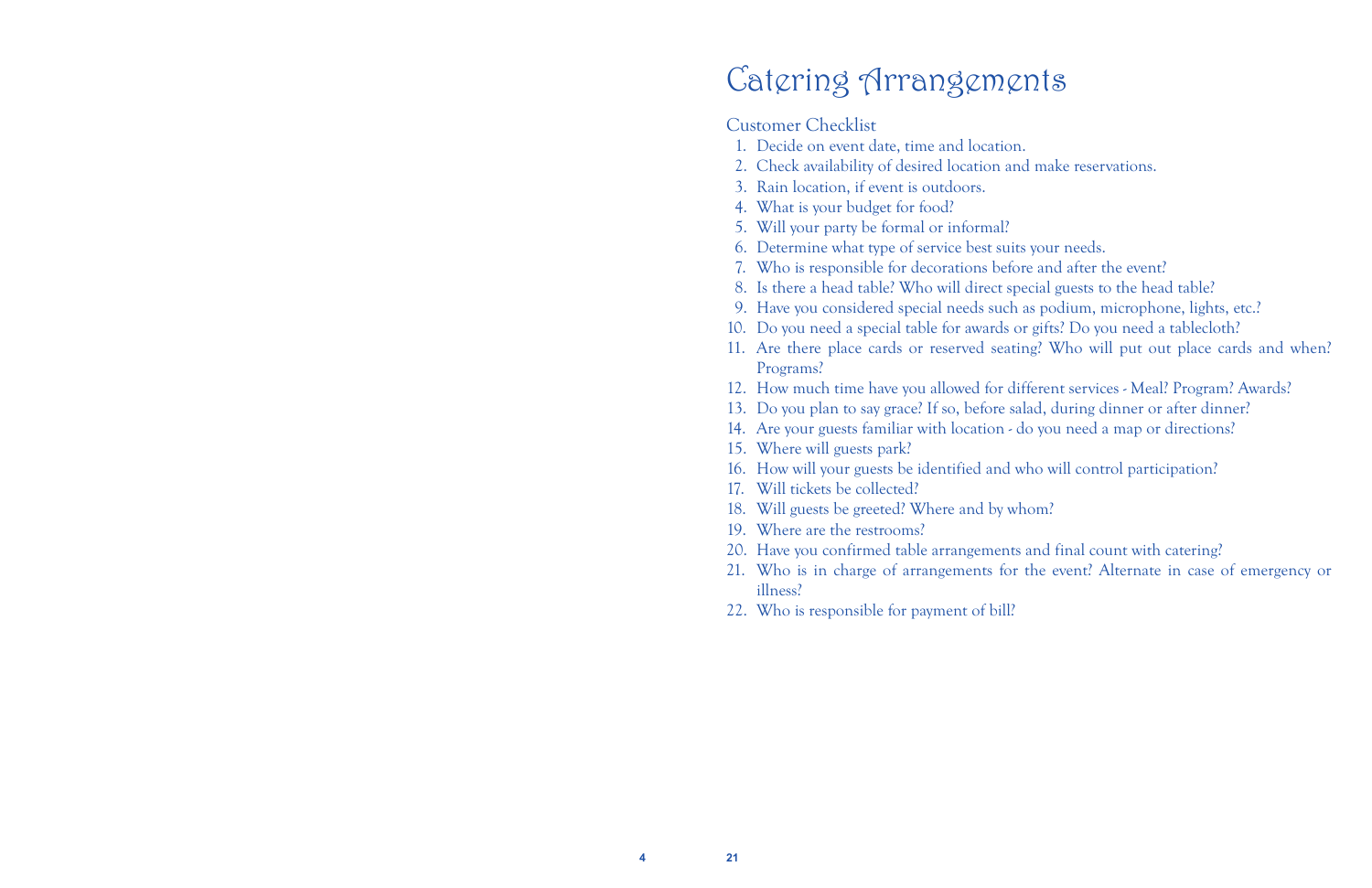**4 21**

## Catering Arrangements

#### Customer Checklist

11. Are there place cards or reserved seating? Who will put out place cards and when?

- 1. Decide on event date, time and location.
- 2. Check availability of desired location and make reservations.
- 3. Rain location, if event is outdoors.
- 4. What is your budget for food?
- 5. Will your party be formal or informal?
- 6. Determine what type of service best suits your needs.
- 7. Who is responsible for decorations before and after the event?
- 8. Is there a head table? Who will direct special guests to the head table?
- 9. Have you considered special needs such as podium, microphone, lights, etc.?
- 10. Do you need a special table for awards or gifts? Do you need a tablecloth?
- Programs?
- 12. How much time have you allowed for different services Meal? Program? Awards?
- 13. Do you plan to say grace? If so, before salad, during dinner or after dinner?
- 14. Are your guests familiar with location do you need a map or directions?
- 15. Where will guests park?
- 16. How will your guests be identified and who will control participation?
- 17. Will tickets be collected?
- 18. Will guests be greeted? Where and by whom?
- 19. Where are the restrooms?
- 20. Have you confirmed table arrangements and final count with catering?
- illness?
- 22. Who is responsible for payment of bill?

21. Who is in charge of arrangements for the event? Alternate in case of emergency or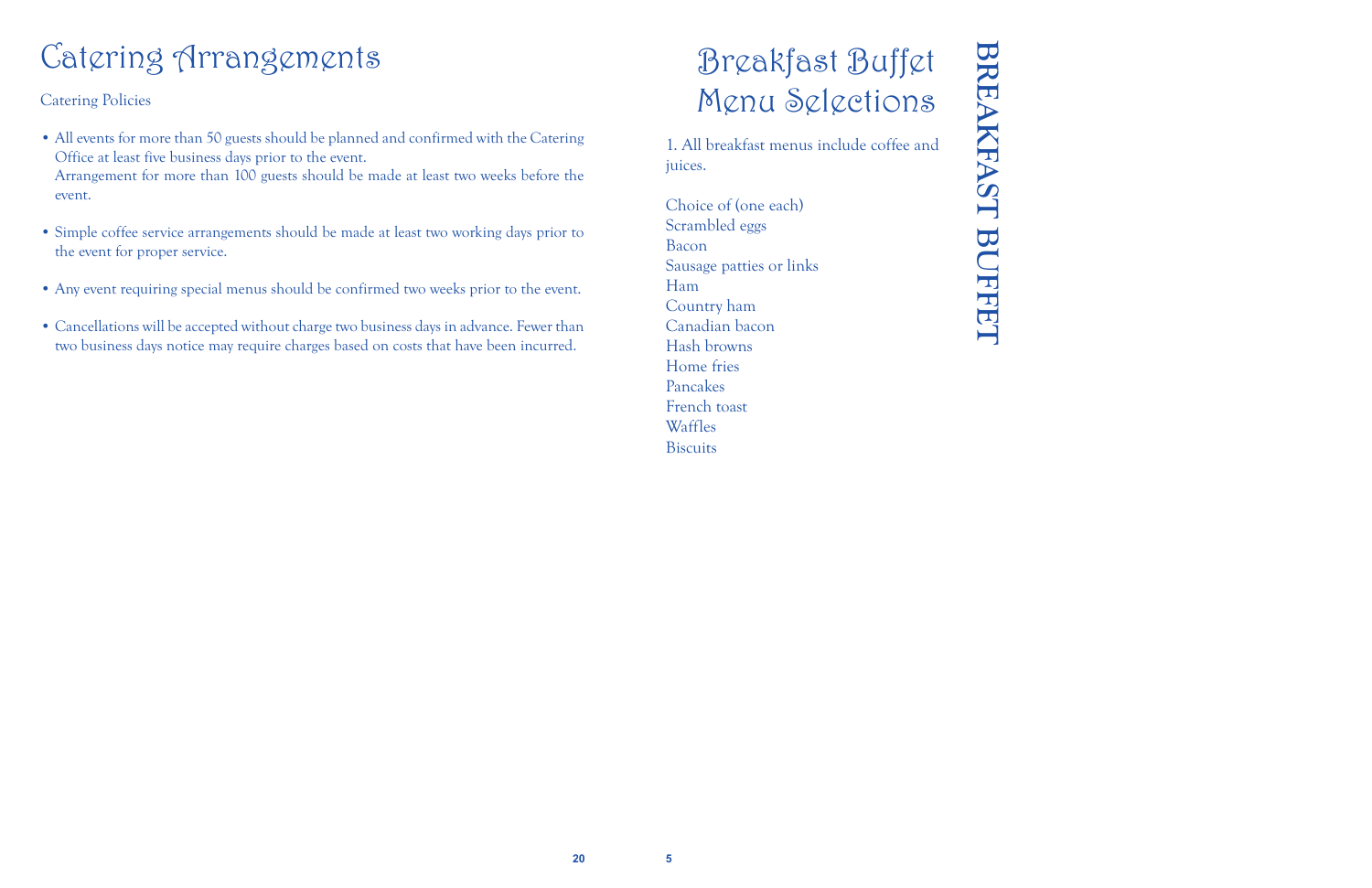## Breakfast Buffet Menu Selections

1. All breakfast menus include coffee and juices.

# **BREAKFAST BUFFET BREAKFAST BUFFET**

Choice of (one each) Scrambled eggs Bacon Sausage patties or links Ham Country ham Canadian bacon Hash browns Home fries Pancakes French toast Waffles Biscuits

## Catering Arrangements

Catering Policies

- All events for more than 50 guests should be planned and confirmed with the Catering Office at least five business days prior to the event. Arrangement for more than 100 guests should be made at least two weeks before the event.
- Simple coffee service arrangements should be made at least two working days prior to the event for proper service.
- Any event requiring special menus should be confirmed two weeks prior to the event.
- Cancellations will be accepted without charge two business days in advance. Fewer than two business days notice may require charges based on costs that have been incurred.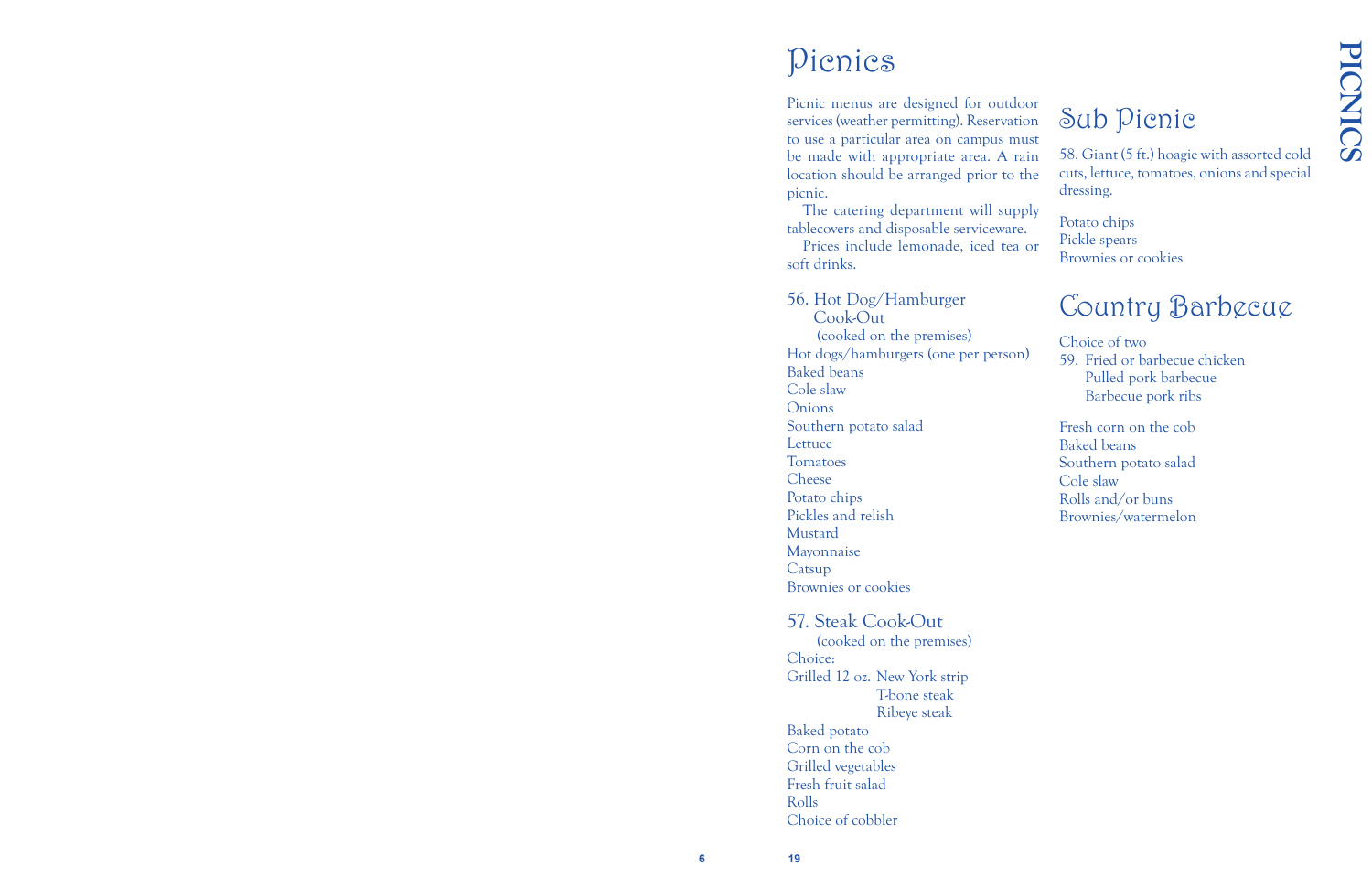#### Picnics

The catering department will supply tablecovers and disposable serviceware.

Prices include lemonade, iced tea or soft drinks.

Picnic menus are designed for outdoor services (weather permitting). Reservation to use a particular area on campus must be made with appropriate area. A rain location should be arranged prior to the picnic. Sub Picnic 58. Giant (5 ft.) hoagie with assorted cold cuts, lettuce, tomatoes, onions and special dressing.

56. Hot Dog/Hamburger Cook-Out (cooked on the premises) Hot dogs/hamburgers (one per person) Baked beans Cole slaw Onions Southern potato salad **Lettuce** Tomatoes Cheese Potato chips Pickles and relish Mustard Mayonnaise **Catsup** Brownies or cookies 57. Steak Cook-Out (cooked on the premises)

Choice: Grilled 12 oz. New York strip T-bone steak Ribeye steak Baked potato Corn on the cob Grilled vegetables Fresh fruit salad Rolls Choice of cobbler

Potato chips Pickle spears Brownies or cookies

#### Country Barbecue

Choice of two 59. Fried or barbecue chicken Pulled pork barbecue Barbecue pork ribs

Fresh corn on the cob Baked beans Southern potato salad Cole slaw Rolls and/or buns Brownies/watermelon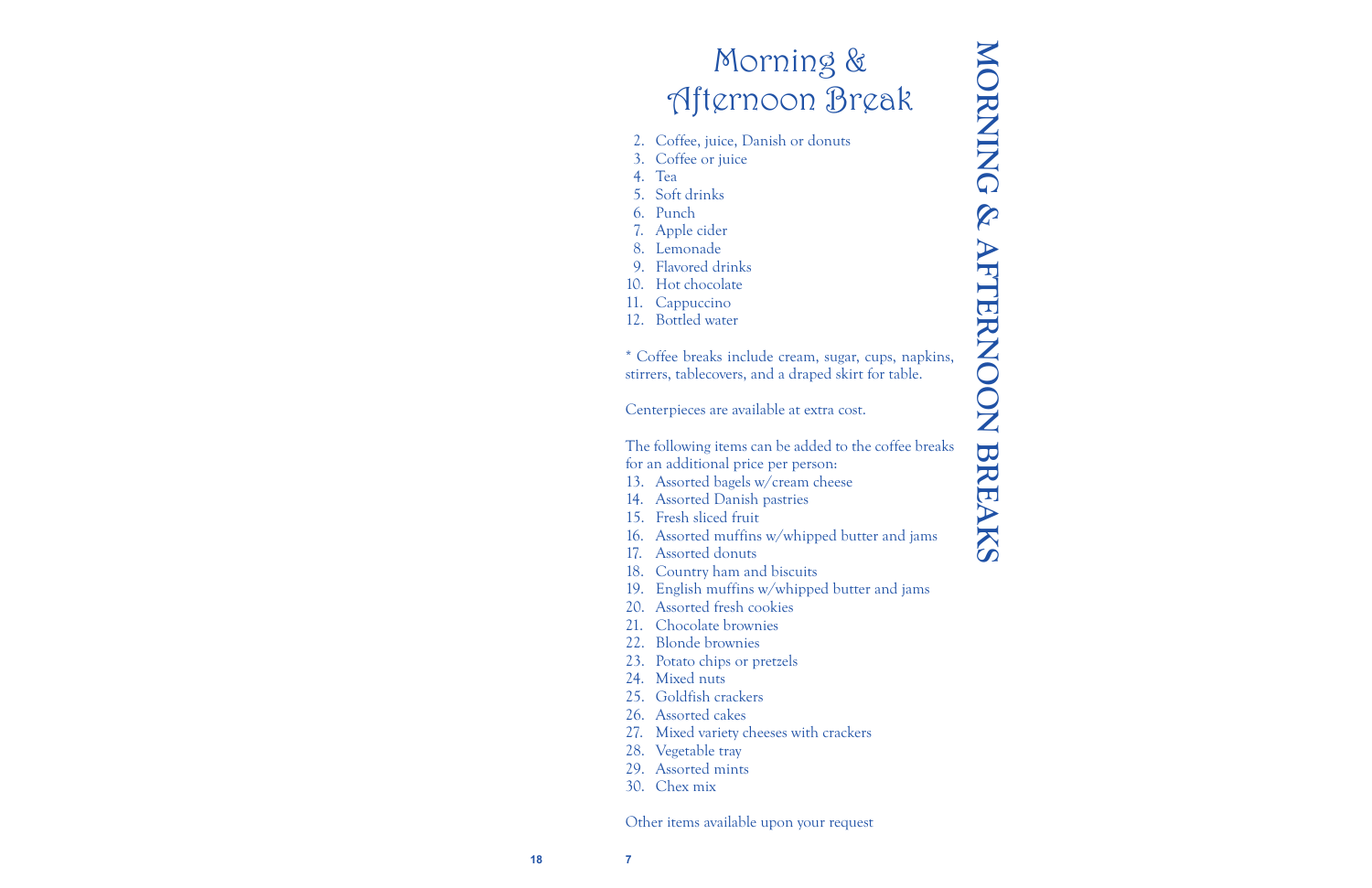**18**

**7**

### Morning & Afternoon Break

- 2. Coffee, juice, Danish or donuts
- 3. Coffee or juice
- 4. Tea
- 5. Soft drinks
- 6. Punch
- 7. Apple cider
- 8. Lemonade
- 9. Flavored drinks
- 10. Hot chocolate
- 11. Cappuccino
- 12. Bottled water

\* Coffee breaks include cream, sugar, cups, napkins, stirrers, tablecovers, and a draped skirt for table.

Centerpieces are available at extra cost.

The following items can be added to the coffee breaks for an additional price per person:

- 13. Assorted bagels w/cream cheese
- 14. Assorted Danish pastries
- 15. Fresh sliced fruit
- 16. Assorted muffins w/whipped butter and jams
- 17. Assorted donuts
- 18. Country ham and biscuits
- 19. English muffins w/whipped butter and jams
- 20. Assorted fresh cookies
- 21. Chocolate brownies
- 22. Blonde brownies
- 23. Potato chips or pretzels
- 24. Mixed nuts
- 25. Goldfish crackers
- 26. Assorted cakes
- 27. Mixed variety cheeses with crackers
- 28. Vegetable tray
- 29. Assorted mints
- 30. Chex mix

Other items available upon your request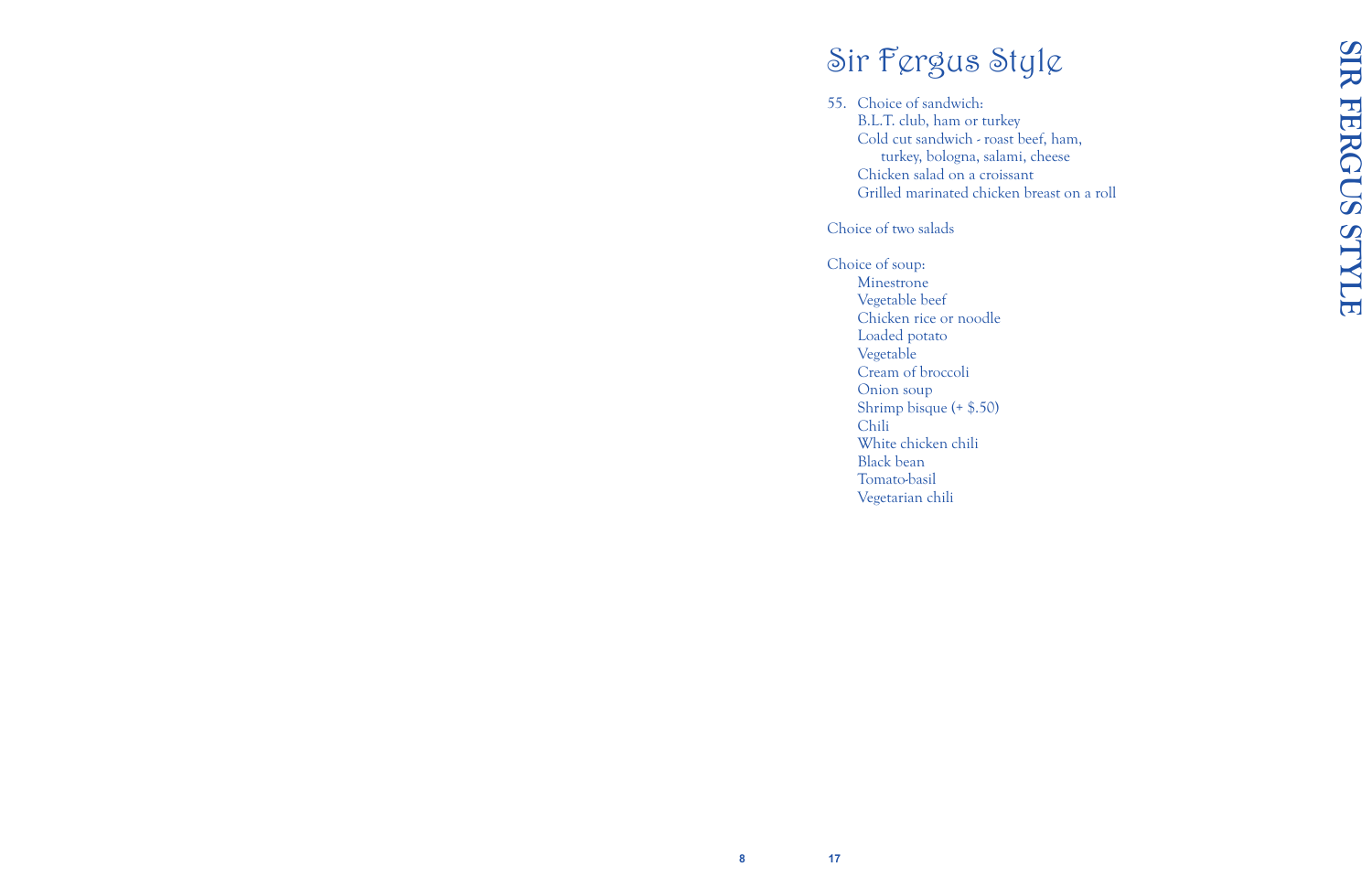## Sir Fergus Style

55. Choice of sandwich: B.L.T. club, ham or turkey Cold cut sandwich - roast beef, ham, turkey, bologna, salami, cheese Chicken salad on a croissant Grilled marinated chicken breast on a roll

Choice of two salads

Choice of soup: Minestrone Vegetable beef Chicken rice or noodle Loaded potato Vegetable Cream of broccoli Onion soup Shrimp bisque (+ \$.50) Chili White chicken chili Black bean Tomato-basil Vegetarian chili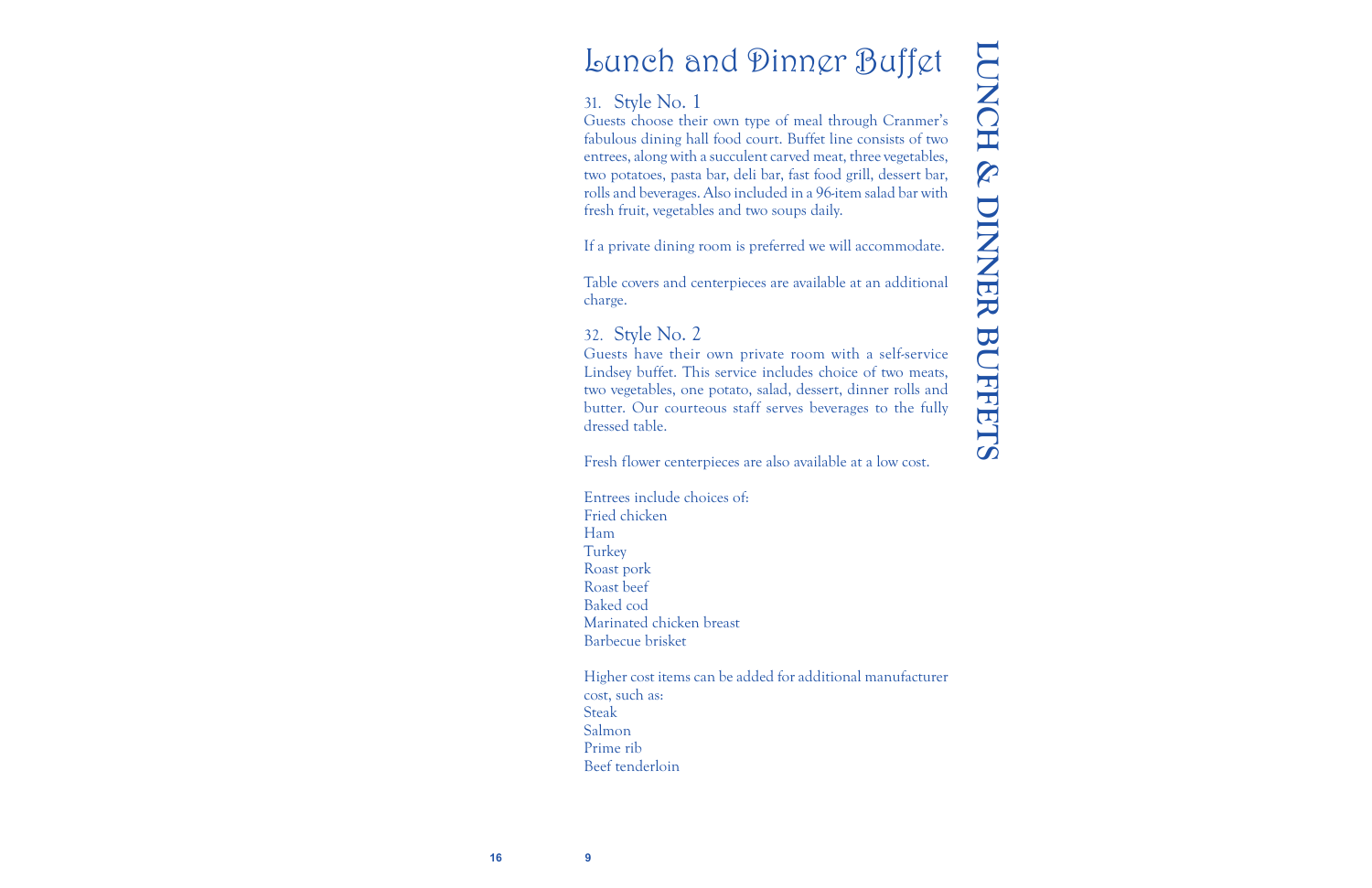## Lunch and Dinner Buffet

#### 31. Style No. 1

Guests choose their own type of meal through Cranmer's fabulous dining hall food court. Buffet line consists of two entrees, along with a succulent carved meat, three vegetables, two potatoes, pasta bar, deli bar, fast food grill, dessert bar, rolls and beverages. Also included in a 96-item salad bar with fresh fruit, vegetables and two soups daily.

If a private dining room is preferred we will accommodate.

Table covers and centerpieces are available at an additional charge.

#### 32. Style No. 2

Guests have their own private room with a self-service Lindsey buffet. This service includes choice of two meats, two vegetables, one potato, salad, dessert, dinner rolls and butter. Our courteous staff serves beverages to the fully dressed table.

Fresh flower centerpieces are also available at a low cost.

Entrees include choices of: Fried chicken Ham **Turkey** Roast pork Roast beef Baked cod Marinated chicken breast Barbecue brisket

Higher cost items can be added for additional manufacturer cost, such as: Steak Salmon Prime rib Beef tenderloin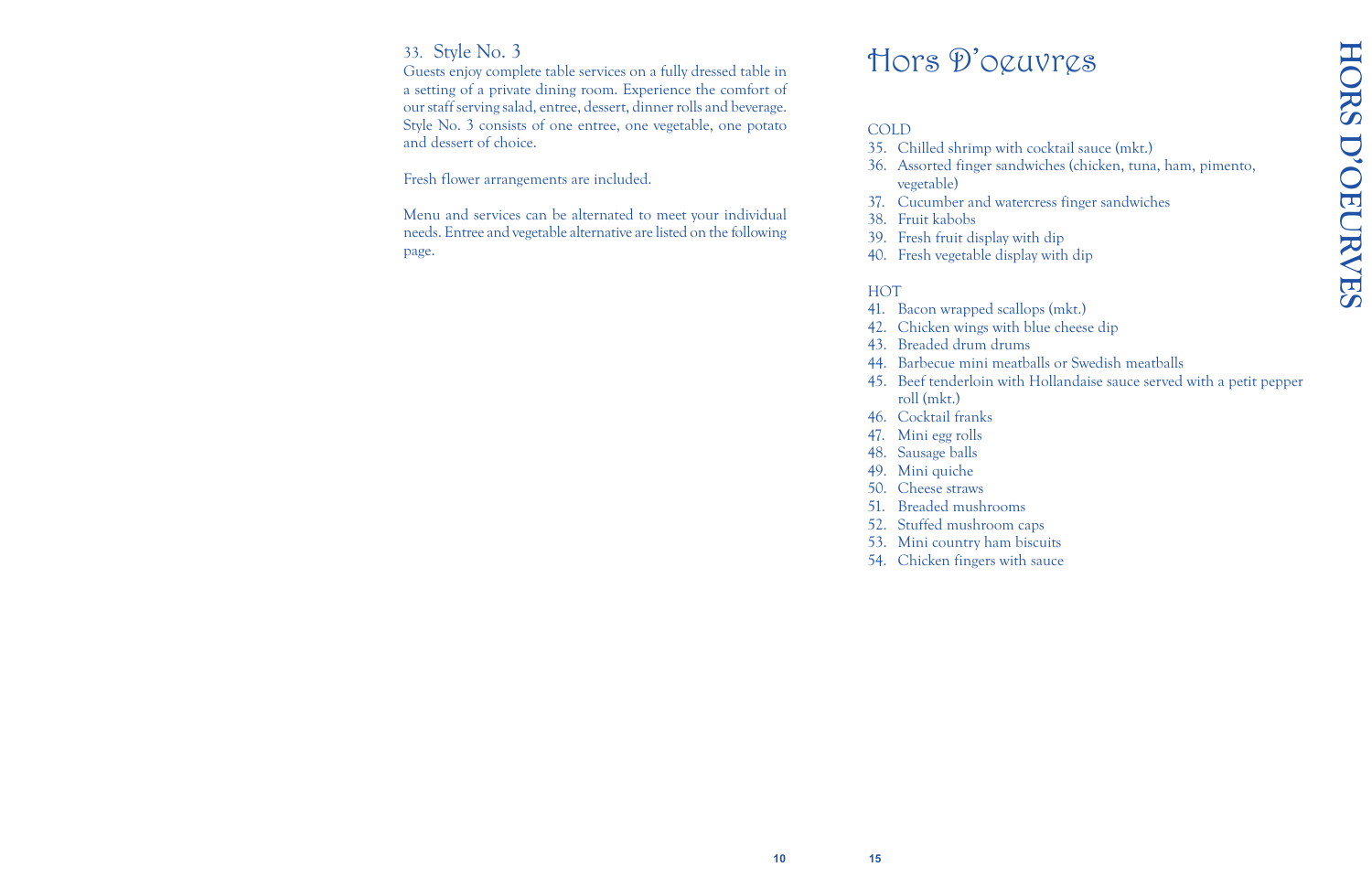#### 33. Style No. 3

Guests enjoy complete table services on a fully dressed table in a setting of a private dining room. Experience the comfort of our staff serving salad, entree, dessert, dinner rolls and beverage. Style No. 3 consists of one entree, one vegetable, one potato and dessert of choice.

Fresh flower arrangements are included.

Menu and services can be alternated to meet your individual needs. Entree and vegetable alternative are listed on the following page.

### Hors D'oeuvres

#### COLD

35. Chilled shrimp with cocktail sauce (mkt.) 36. Assorted finger sandwiches (chicken, tuna, ham, pimento,

37. Cucumber and watercress finger sandwiches

- 
- vegetable)
- 
- 38. Fruit kabobs
- 39. Fresh fruit display with dip
- 40. Fresh vegetable display with dip

#### **HOT**

42. Chicken wings with blue cheese dip 44. Barbecue mini meatballs or Swedish meatballs 45. Beef tenderloin with Hollandaise sauce served with a petit pepper

- 41. Bacon wrapped scallops (mkt.)
- 
- 43. Breaded drum drums
- 
- roll (mkt.)
- 46. Cocktail franks
- 47. Mini egg rolls
- 48. Sausage balls
- 49. Mini quiche
- 50. Cheese straws
- 51. Breaded mushrooms
- 52. Stuffed mushroom caps
- 53. Mini country ham biscuits
- 54. Chicken fingers with sauce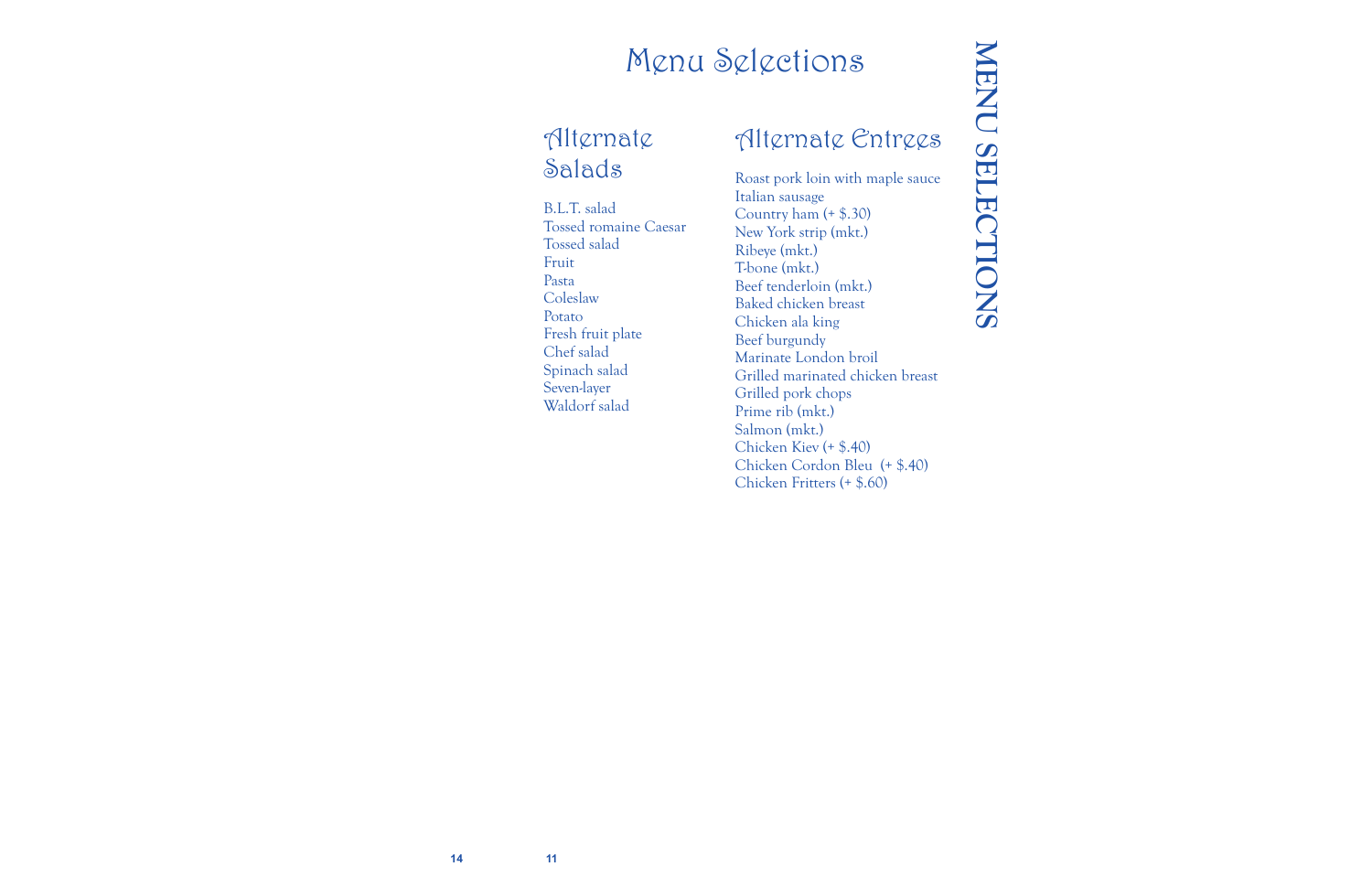#### Menu Selections

#### Alternate Salads

B.L.T. salad Tossed romaine Caesar Tossed salad Fruit Pasta **Coleslaw** Potato Fresh fruit plate Chef salad Spinach salad Seven-layer Waldorf salad

#### Alternate Entrees

Roast pork loin with maple sauce Italian sausage Country ham (+ \$.30) New York strip (mkt.) Ribeye (mkt.) T-bone (mkt.) Beef tenderloin (mkt.) Baked chicken breast Chicken ala king Beef burgundy Marinate London broil Grilled marinated chicken breast Grilled pork chops Prime rib (mkt.) Salmon (mkt.) Chicken Kiev (+ \$.40) Chicken Cordon Bleu (+ \$.40) Chicken Fritters (+ \$.60)